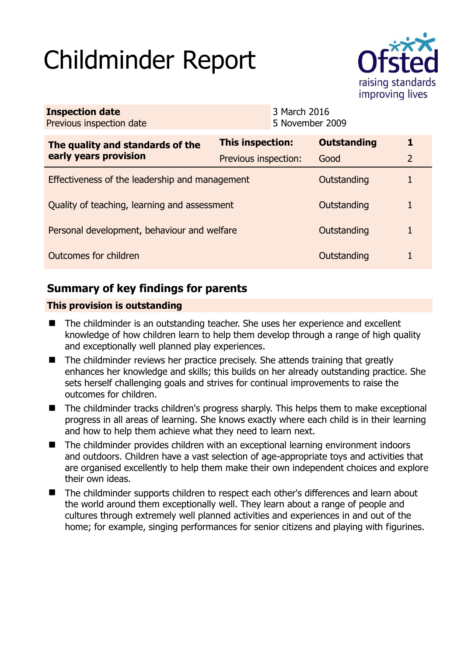# Childminder Report



| <b>Inspection date</b><br>Previous inspection date        |                         | 3 March 2016<br>5 November 2009 |                    |                |
|-----------------------------------------------------------|-------------------------|---------------------------------|--------------------|----------------|
| The quality and standards of the<br>early years provision | <b>This inspection:</b> |                                 | <b>Outstanding</b> | 1              |
|                                                           | Previous inspection:    |                                 | Good               | $\overline{2}$ |
| Effectiveness of the leadership and management            |                         |                                 | Outstanding        |                |
| Quality of teaching, learning and assessment              |                         |                                 | Outstanding        | 1              |
| Personal development, behaviour and welfare               |                         |                                 | Outstanding        |                |
| Outcomes for children                                     |                         |                                 | Outstanding        |                |

# **Summary of key findings for parents**

## **This provision is outstanding**

- The childminder is an outstanding teacher. She uses her experience and excellent knowledge of how children learn to help them develop through a range of high quality and exceptionally well planned play experiences.
- The childminder reviews her practice precisely. She attends training that greatly enhances her knowledge and skills; this builds on her already outstanding practice. She sets herself challenging goals and strives for continual improvements to raise the outcomes for children.
- The childminder tracks children's progress sharply. This helps them to make exceptional progress in all areas of learning. She knows exactly where each child is in their learning and how to help them achieve what they need to learn next.
- The childminder provides children with an exceptional learning environment indoors and outdoors. Children have a vast selection of age-appropriate toys and activities that are organised excellently to help them make their own independent choices and explore their own ideas.
- The childminder supports children to respect each other's differences and learn about the world around them exceptionally well. They learn about a range of people and cultures through extremely well planned activities and experiences in and out of the home; for example, singing performances for senior citizens and playing with figurines.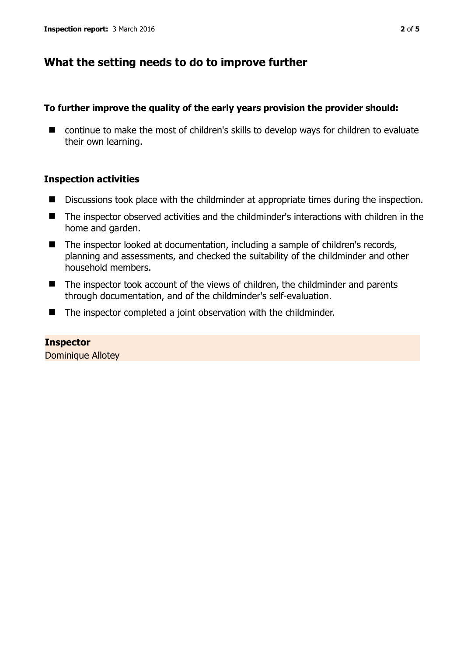## **What the setting needs to do to improve further**

## **To further improve the quality of the early years provision the provider should:**

■ continue to make the most of children's skills to develop ways for children to evaluate their own learning.

## **Inspection activities**

- Discussions took place with the childminder at appropriate times during the inspection.
- The inspector observed activities and the childminder's interactions with children in the home and garden.
- The inspector looked at documentation, including a sample of children's records, planning and assessments, and checked the suitability of the childminder and other household members.
- The inspector took account of the views of children, the childminder and parents through documentation, and of the childminder's self-evaluation.
- The inspector completed a joint observation with the childminder.

# **Inspector**

Dominique Allotey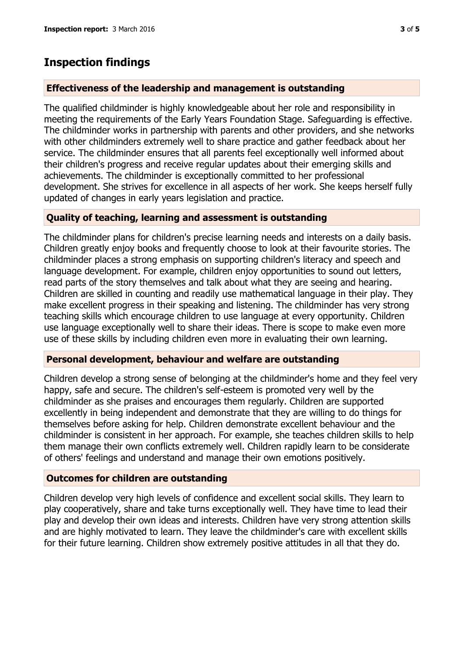## **Inspection findings**

#### **Effectiveness of the leadership and management is outstanding**

The qualified childminder is highly knowledgeable about her role and responsibility in meeting the requirements of the Early Years Foundation Stage. Safeguarding is effective. The childminder works in partnership with parents and other providers, and she networks with other childminders extremely well to share practice and gather feedback about her service. The childminder ensures that all parents feel exceptionally well informed about their children's progress and receive regular updates about their emerging skills and achievements. The childminder is exceptionally committed to her professional development. She strives for excellence in all aspects of her work. She keeps herself fully updated of changes in early years legislation and practice.

### **Quality of teaching, learning and assessment is outstanding**

The childminder plans for children's precise learning needs and interests on a daily basis. Children greatly enjoy books and frequently choose to look at their favourite stories. The childminder places a strong emphasis on supporting children's literacy and speech and language development. For example, children enjoy opportunities to sound out letters, read parts of the story themselves and talk about what they are seeing and hearing. Children are skilled in counting and readily use mathematical language in their play. They make excellent progress in their speaking and listening. The childminder has very strong teaching skills which encourage children to use language at every opportunity. Children use language exceptionally well to share their ideas. There is scope to make even more use of these skills by including children even more in evaluating their own learning.

#### **Personal development, behaviour and welfare are outstanding**

Children develop a strong sense of belonging at the childminder's home and they feel very happy, safe and secure. The children's self-esteem is promoted very well by the childminder as she praises and encourages them regularly. Children are supported excellently in being independent and demonstrate that they are willing to do things for themselves before asking for help. Children demonstrate excellent behaviour and the childminder is consistent in her approach. For example, she teaches children skills to help them manage their own conflicts extremely well. Children rapidly learn to be considerate of others' feelings and understand and manage their own emotions positively.

### **Outcomes for children are outstanding**

Children develop very high levels of confidence and excellent social skills. They learn to play cooperatively, share and take turns exceptionally well. They have time to lead their play and develop their own ideas and interests. Children have very strong attention skills and are highly motivated to learn. They leave the childminder's care with excellent skills for their future learning. Children show extremely positive attitudes in all that they do.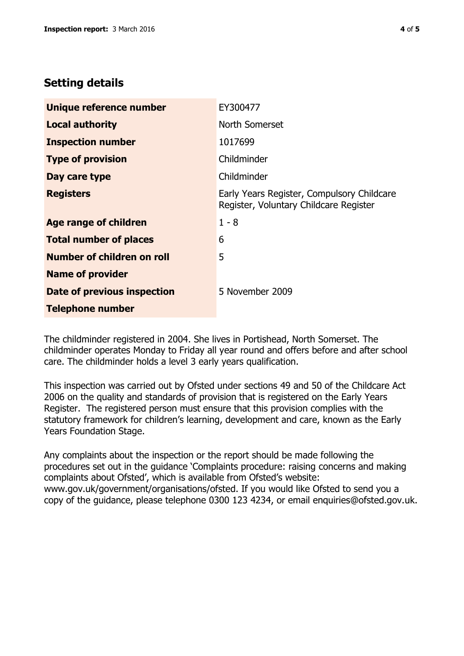# **Setting details**

| Unique reference number       | EY300477                                                                             |  |
|-------------------------------|--------------------------------------------------------------------------------------|--|
| <b>Local authority</b>        | North Somerset                                                                       |  |
| <b>Inspection number</b>      | 1017699                                                                              |  |
| <b>Type of provision</b>      | Childminder                                                                          |  |
| Day care type                 | Childminder                                                                          |  |
| <b>Registers</b>              | Early Years Register, Compulsory Childcare<br>Register, Voluntary Childcare Register |  |
| Age range of children         | $1 - 8$                                                                              |  |
| <b>Total number of places</b> | 6                                                                                    |  |
| Number of children on roll    | 5                                                                                    |  |
| <b>Name of provider</b>       |                                                                                      |  |
| Date of previous inspection   | 5 November 2009                                                                      |  |
| <b>Telephone number</b>       |                                                                                      |  |

The childminder registered in 2004. She lives in Portishead, North Somerset. The childminder operates Monday to Friday all year round and offers before and after school care. The childminder holds a level 3 early years qualification.

This inspection was carried out by Ofsted under sections 49 and 50 of the Childcare Act 2006 on the quality and standards of provision that is registered on the Early Years Register. The registered person must ensure that this provision complies with the statutory framework for children's learning, development and care, known as the Early Years Foundation Stage.

Any complaints about the inspection or the report should be made following the procedures set out in the guidance 'Complaints procedure: raising concerns and making complaints about Ofsted', which is available from Ofsted's website: www.gov.uk/government/organisations/ofsted. If you would like Ofsted to send you a copy of the guidance, please telephone 0300 123 4234, or email enquiries@ofsted.gov.uk.